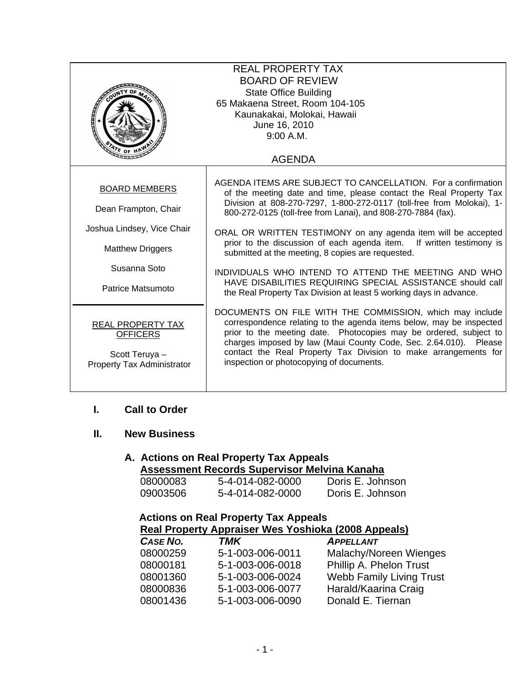| <b>REAL PROPERTY TAX</b><br><b>BOARD OF REVIEW</b><br><b>State Office Building</b><br>65 Makaena Street, Room 104-105<br>Kaunakakai, Molokai, Hawaii<br>مكلفتكم<br>June 16, 2010<br>9:00 A.M. |                                                                                                                                                                                                                                                                                                                                                                                                                                                                                                                                                                                                                                                                       |  |  |
|-----------------------------------------------------------------------------------------------------------------------------------------------------------------------------------------------|-----------------------------------------------------------------------------------------------------------------------------------------------------------------------------------------------------------------------------------------------------------------------------------------------------------------------------------------------------------------------------------------------------------------------------------------------------------------------------------------------------------------------------------------------------------------------------------------------------------------------------------------------------------------------|--|--|
| $\frac{d}{dt}$ of $H$                                                                                                                                                                         | <b>AGENDA</b>                                                                                                                                                                                                                                                                                                                                                                                                                                                                                                                                                                                                                                                         |  |  |
| <b>BOARD MEMBERS</b><br>Dean Frampton, Chair<br>Joshua Lindsey, Vice Chair<br><b>Matthew Driggers</b><br>Susanna Soto<br>Patrice Matsumoto                                                    | AGENDA ITEMS ARE SUBJECT TO CANCELLATION. For a confirmation<br>of the meeting date and time, please contact the Real Property Tax<br>Division at 808-270-7297, 1-800-272-0117 (toll-free from Molokai), 1-<br>800-272-0125 (toll-free from Lanai), and 808-270-7884 (fax).<br>ORAL OR WRITTEN TESTIMONY on any agenda item will be accepted<br>prior to the discussion of each agenda item. If written testimony is<br>submitted at the meeting, 8 copies are requested.<br>INDIVIDUALS WHO INTEND TO ATTEND THE MEETING AND WHO<br>HAVE DISABILITIES REQUIRING SPECIAL ASSISTANCE should call<br>the Real Property Tax Division at least 5 working days in advance. |  |  |
| REAL PROPERTY TAX<br><b>OFFICERS</b><br>Scott Teruya -<br>Property Tax Administrator                                                                                                          | DOCUMENTS ON FILE WITH THE COMMISSION, which may include<br>correspondence relating to the agenda items below, may be inspected<br>prior to the meeting date. Photocopies may be ordered, subject to<br>charges imposed by law (Maui County Code, Sec. 2.64.010). Please<br>contact the Real Property Tax Division to make arrangements for<br>inspection or photocopying of documents.                                                                                                                                                                                                                                                                               |  |  |

## **I. Call to Order**

# **II. New Business**

#### **A. Actions on Real Property Tax Appeals Assessment Records Supervisor Melvina Kanaha**

| 08000083 | 5-4-014-082-0000 | Doris E. Johnson |
|----------|------------------|------------------|
| 09003506 | 5-4-014-082-0000 | Doris E. Johnson |

| <b>Actions on Real Property Tax Appeals</b>         |                  |                                 |  |
|-----------------------------------------------------|------------------|---------------------------------|--|
| Real Property Appraiser Wes Yoshioka (2008 Appeals) |                  |                                 |  |
| CASE NO.                                            | <b>TMK</b>       | <b>APPELLANT</b>                |  |
| 08000259                                            | 5-1-003-006-0011 | Malachy/Noreen Wienges          |  |
| 08000181                                            | 5-1-003-006-0018 | Phillip A. Phelon Trust         |  |
| 08001360                                            | 5-1-003-006-0024 | <b>Webb Family Living Trust</b> |  |
| 08000836                                            | 5-1-003-006-0077 | Harald/Kaarina Craig            |  |
| 08001436                                            | 5-1-003-006-0090 | Donald E. Tiernan               |  |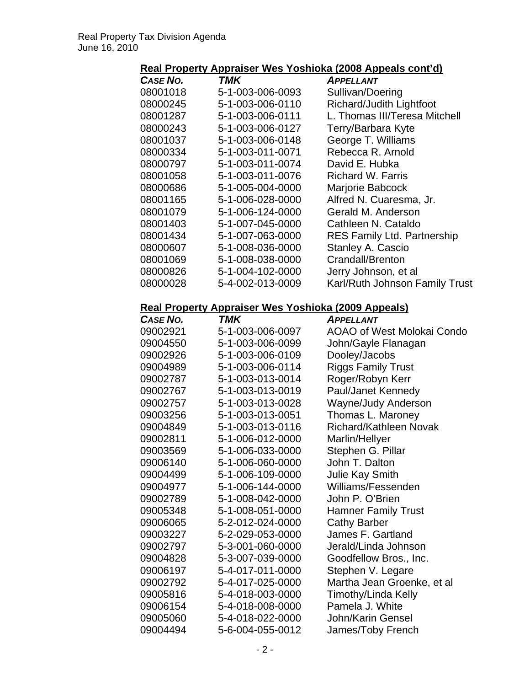# **Real Property Appraiser Wes Yoshioka (2008 Appeals cont'd)**

| CASE NO. | TMK              | <b>APPELLANT</b>                   |
|----------|------------------|------------------------------------|
| 08001018 | 5-1-003-006-0093 | Sullivan/Doering                   |
| 08000245 | 5-1-003-006-0110 | Richard/Judith Lightfoot           |
| 08001287 | 5-1-003-006-0111 | L. Thomas III/Teresa Mitchell      |
| 08000243 | 5-1-003-006-0127 | Terry/Barbara Kyte                 |
| 08001037 | 5-1-003-006-0148 | George T. Williams                 |
| 08000334 | 5-1-003-011-0071 | Rebecca R. Arnold                  |
| 08000797 | 5-1-003-011-0074 | David E. Hubka                     |
| 08001058 | 5-1-003-011-0076 | Richard W. Farris                  |
| 08000686 | 5-1-005-004-0000 | Marjorie Babcock                   |
| 08001165 | 5-1-006-028-0000 | Alfred N. Cuaresma, Jr.            |
| 08001079 | 5-1-006-124-0000 | Gerald M. Anderson                 |
| 08001403 | 5-1-007-045-0000 | Cathleen N. Cataldo                |
| 08001434 | 5-1-007-063-0000 | <b>RES Family Ltd. Partnership</b> |
| 08000607 | 5-1-008-036-0000 | Stanley A. Cascio                  |
| 08001069 | 5-1-008-038-0000 | Crandall/Brenton                   |
| 08000826 | 5-1-004-102-0000 | Jerry Johnson, et al               |
| 08000028 | 5-4-002-013-0009 | Karl/Ruth Johnson Family Trust     |

#### **Real Property Appraiser Wes Yoshioka (2009 Appeals)**

| CASE NO. | <b>TMK</b>       | <b>APPELLANT</b>              |
|----------|------------------|-------------------------------|
| 09002921 | 5-1-003-006-0097 | AOAO of West Molokai Condo    |
| 09004550 | 5-1-003-006-0099 | John/Gayle Flanagan           |
| 09002926 | 5-1-003-006-0109 | Dooley/Jacobs                 |
| 09004989 | 5-1-003-006-0114 | <b>Riggs Family Trust</b>     |
| 09002787 | 5-1-003-013-0014 | Roger/Robyn Kerr              |
| 09002767 | 5-1-003-013-0019 | Paul/Janet Kennedy            |
| 09002757 | 5-1-003-013-0028 | <b>Wayne/Judy Anderson</b>    |
| 09003256 | 5-1-003-013-0051 | Thomas L. Maroney             |
| 09004849 | 5-1-003-013-0116 | <b>Richard/Kathleen Novak</b> |
| 09002811 | 5-1-006-012-0000 | Marlin/Hellyer                |
| 09003569 | 5-1-006-033-0000 | Stephen G. Pillar             |
| 09006140 | 5-1-006-060-0000 | John T. Dalton                |
| 09004499 | 5-1-006-109-0000 | Julie Kay Smith               |
| 09004977 | 5-1-006-144-0000 | Williams/Fessenden            |
| 09002789 | 5-1-008-042-0000 | John P. O'Brien               |
| 09005348 | 5-1-008-051-0000 | <b>Hamner Family Trust</b>    |
| 09006065 | 5-2-012-024-0000 | <b>Cathy Barber</b>           |
| 09003227 | 5-2-029-053-0000 | James F. Gartland             |
| 09002797 | 5-3-001-060-0000 | Jerald/Linda Johnson          |
| 09004828 | 5-3-007-039-0000 | Goodfellow Bros., Inc.        |
| 09006197 | 5-4-017-011-0000 | Stephen V. Legare             |
| 09002792 | 5-4-017-025-0000 | Martha Jean Groenke, et al    |
| 09005816 | 5-4-018-003-0000 | Timothy/Linda Kelly           |
| 09006154 | 5-4-018-008-0000 | Pamela J. White               |
| 09005060 | 5-4-018-022-0000 | John/Karin Gensel             |
| 09004494 | 5-6-004-055-0012 | James/Toby French             |